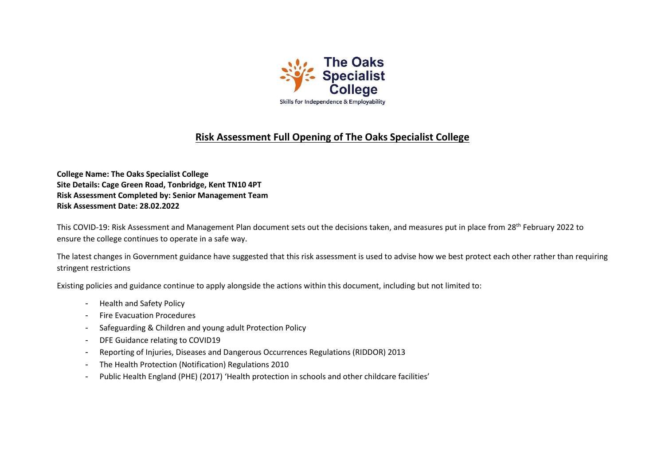

# **Risk Assessment Full Opening of The Oaks Specialist College**

**College Name: The Oaks Specialist College Site Details: Cage Green Road, Tonbridge, Kent TN10 4PT Risk Assessment Completed by: Senior Management Team Risk Assessment Date: 28.02.2022**

This COVID-19: Risk Assessment and Management Plan document sets out the decisions taken, and measures put in place from 28<sup>th</sup> February 2022 to ensure the college continues to operate in a safe way.

The latest changes in Government guidance have suggested that this risk assessment is used to advise how we best protect each other rather than requiring stringent restrictions

Existing policies and guidance continue to apply alongside the actions within this document, including but not limited to:

- Health and Safety Policy
- Fire Evacuation Procedures
- Safeguarding & Children and young adult Protection Policy
- DFE Guidance relating to COVID19
- Reporting of Injuries, Diseases and Dangerous Occurrences Regulations (RIDDOR) 2013
- The Health Protection (Notification) Regulations 2010
- Public Health England (PHE) (2017) 'Health protection in schools and other childcare facilities'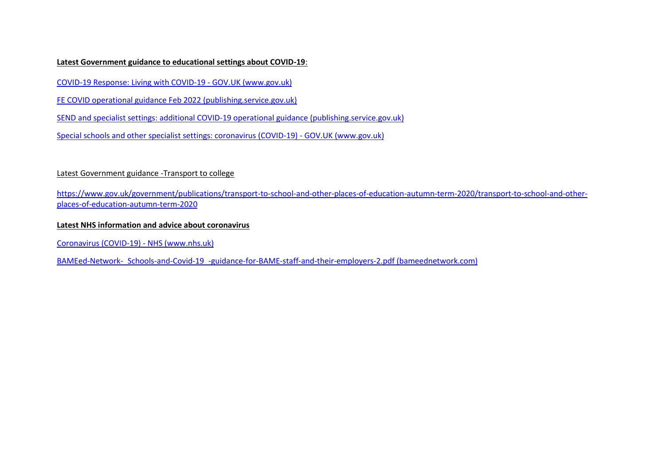## **Latest Government guidance to educational settings about COVID-19**:

[COVID-19 Response: Living with COVID-19 -](https://www.gov.uk/government/publications/covid-19-response-living-with-covid-19/covid-19-response-living-with-covid-19) GOV.UK (www.gov.uk)

[FE COVID operational guidance Feb 2022 \(publishing.service.gov.uk\)](https://assets.publishing.service.gov.uk/government/uploads/system/uploads/attachment_data/file/1056992/FE_COVID_operational_guidance_Feb_2022.pdf)

[SEND and specialist settings: additional COVID-19 operational guidance \(publishing.service.gov.uk\)](https://assets.publishing.service.gov.uk/government/uploads/system/uploads/attachment_data/file/1057037/20220223_SEND_guidance.pdf)

[Special schools and other specialist settings: coronavirus \(COVID-19\) -](https://www.gov.uk/government/publications/guidance-for-full-opening-special-schools-and-other-specialist-settings?utm_medium=email&utm_campaign=govuk-notifications-topic&utm_source=5b39fd76-b131-46ff-a5f1-67c863a6237f&utm_content=daily) GOV.UK (www.gov.uk)

# Latest Government guidance -Transport to college

[https://www.gov.uk/government/publications/transport-to-school-and-other-places-of-education-autumn-term-2020/transport-to-school-and-other](https://www.gov.uk/government/publications/transport-to-school-and-other-places-of-education-autumn-term-2020/transport-to-school-and-other-places-of-education-autumn-term-2020)[places-of-education-autumn-term-2020](https://www.gov.uk/government/publications/transport-to-school-and-other-places-of-education-autumn-term-2020/transport-to-school-and-other-places-of-education-autumn-term-2020)

# **Latest NHS information and advice about coronavirus**

[Coronavirus \(COVID-19\) -](https://www.nhs.uk/conditions/coronavirus-covid-19/) NHS (www.nhs.uk)

[BAMEed-Network-\\_Schools-and-Covid-19\\_-guidance-for-BAME-staff-and-their-employers-2.pdf \(bameednetwork.com\)](https://www.bameednetwork.com/wp-content/uploads/2020/05/BAMEed-Network-_Schools-and-Covid-19_-guidance-for-BAME-staff-and-their-employers-2.pdf)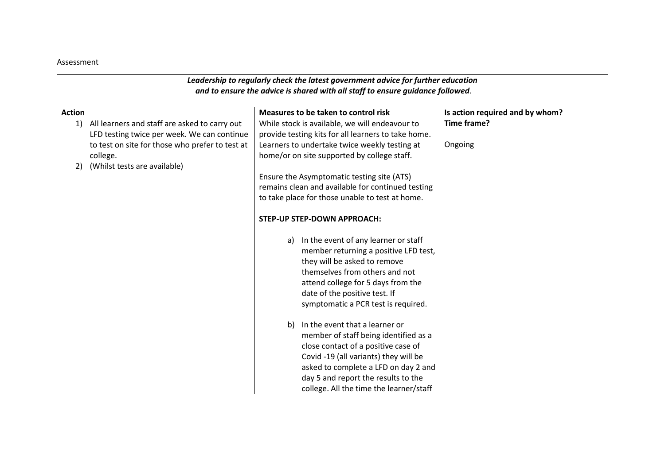#### Assessment

| Leadership to regularly check the latest government advice for further education |                                                 |    |                                                     |                                 |  |
|----------------------------------------------------------------------------------|-------------------------------------------------|----|-----------------------------------------------------|---------------------------------|--|
| and to ensure the advice is shared with all staff to ensure guidance followed.   |                                                 |    |                                                     |                                 |  |
| <b>Action</b>                                                                    |                                                 |    | Measures to be taken to control risk                | Is action required and by whom? |  |
| 1)                                                                               | All learners and staff are asked to carry out   |    | While stock is available, we will endeavour to      | Time frame?                     |  |
|                                                                                  | LFD testing twice per week. We can continue     |    | provide testing kits for all learners to take home. |                                 |  |
|                                                                                  | to test on site for those who prefer to test at |    | Learners to undertake twice weekly testing at       | Ongoing                         |  |
| college.                                                                         |                                                 |    | home/or on site supported by college staff.         |                                 |  |
| 2)                                                                               | (Whilst tests are available)                    |    |                                                     |                                 |  |
|                                                                                  |                                                 |    | Ensure the Asymptomatic testing site (ATS)          |                                 |  |
|                                                                                  |                                                 |    | remains clean and available for continued testing   |                                 |  |
|                                                                                  |                                                 |    | to take place for those unable to test at home.     |                                 |  |
|                                                                                  |                                                 |    |                                                     |                                 |  |
|                                                                                  |                                                 |    | <b>STEP-UP STEP-DOWN APPROACH:</b>                  |                                 |  |
|                                                                                  |                                                 |    |                                                     |                                 |  |
|                                                                                  |                                                 |    | a) In the event of any learner or staff             |                                 |  |
|                                                                                  |                                                 |    | member returning a positive LFD test,               |                                 |  |
|                                                                                  |                                                 |    | they will be asked to remove                        |                                 |  |
|                                                                                  |                                                 |    | themselves from others and not                      |                                 |  |
|                                                                                  |                                                 |    | attend college for 5 days from the                  |                                 |  |
|                                                                                  |                                                 |    | date of the positive test. If                       |                                 |  |
|                                                                                  |                                                 |    | symptomatic a PCR test is required.                 |                                 |  |
|                                                                                  |                                                 |    |                                                     |                                 |  |
|                                                                                  |                                                 | b) | In the event that a learner or                      |                                 |  |
|                                                                                  |                                                 |    | member of staff being identified as a               |                                 |  |
|                                                                                  |                                                 |    | close contact of a positive case of                 |                                 |  |
|                                                                                  |                                                 |    | Covid -19 (all variants) they will be               |                                 |  |
|                                                                                  |                                                 |    | asked to complete a LFD on day 2 and                |                                 |  |
|                                                                                  |                                                 |    | day 5 and report the results to the                 |                                 |  |
|                                                                                  |                                                 |    | college. All the time the learner/staff             |                                 |  |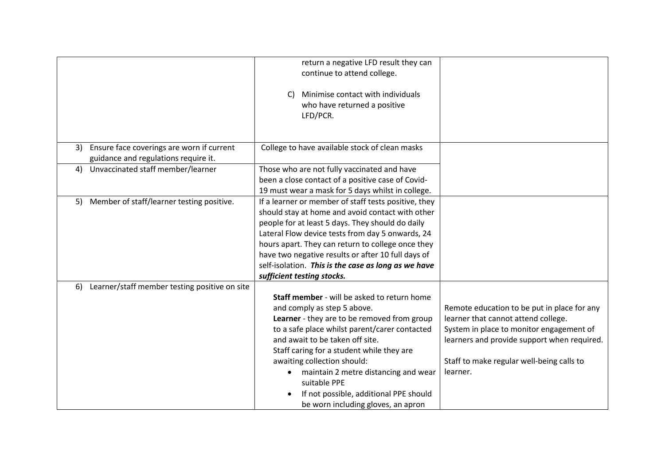|                                                                                         | return a negative LFD result they can<br>continue to attend college.                                                                                                                                                                                                                                                                                                                                                                           |                                                                                                                                                                                                                                        |
|-----------------------------------------------------------------------------------------|------------------------------------------------------------------------------------------------------------------------------------------------------------------------------------------------------------------------------------------------------------------------------------------------------------------------------------------------------------------------------------------------------------------------------------------------|----------------------------------------------------------------------------------------------------------------------------------------------------------------------------------------------------------------------------------------|
|                                                                                         | Minimise contact with individuals<br>C)<br>who have returned a positive<br>LFD/PCR.                                                                                                                                                                                                                                                                                                                                                            |                                                                                                                                                                                                                                        |
| Ensure face coverings are worn if current<br>3)<br>guidance and regulations require it. | College to have available stock of clean masks                                                                                                                                                                                                                                                                                                                                                                                                 |                                                                                                                                                                                                                                        |
| 4) Unvaccinated staff member/learner                                                    | Those who are not fully vaccinated and have<br>been a close contact of a positive case of Covid-<br>19 must wear a mask for 5 days whilst in college.                                                                                                                                                                                                                                                                                          |                                                                                                                                                                                                                                        |
| Member of staff/learner testing positive.<br>5)                                         | If a learner or member of staff tests positive, they<br>should stay at home and avoid contact with other<br>people for at least 5 days. They should do daily<br>Lateral Flow device tests from day 5 onwards, 24<br>hours apart. They can return to college once they<br>have two negative results or after 10 full days of<br>self-isolation. This is the case as long as we have<br>sufficient testing stocks.                               |                                                                                                                                                                                                                                        |
| Learner/staff member testing positive on site<br>6)                                     | Staff member - will be asked to return home<br>and comply as step 5 above.<br>Learner - they are to be removed from group<br>to a safe place whilst parent/carer contacted<br>and await to be taken off site.<br>Staff caring for a student while they are<br>awaiting collection should:<br>maintain 2 metre distancing and wear<br>$\bullet$<br>suitable PPE<br>If not possible, additional PPE should<br>be worn including gloves, an apron | Remote education to be put in place for any<br>learner that cannot attend college.<br>System in place to monitor engagement of<br>learners and provide support when required.<br>Staff to make regular well-being calls to<br>learner. |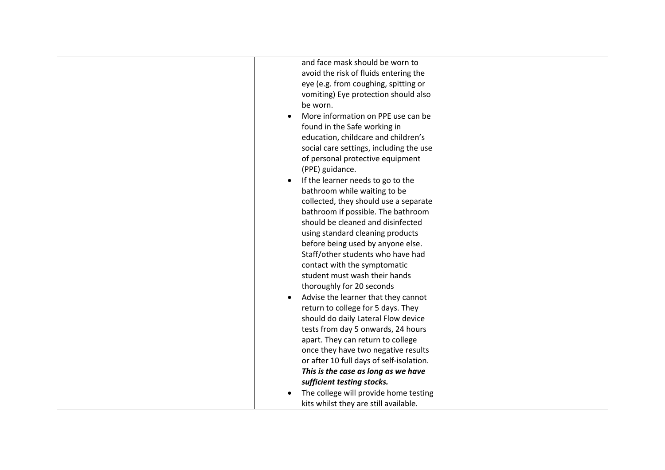| and face mask should be worn to                  |  |
|--------------------------------------------------|--|
| avoid the risk of fluids entering the            |  |
| eye (e.g. from coughing, spitting or             |  |
| vomiting) Eye protection should also             |  |
| be worn.                                         |  |
| More information on PPE use can be               |  |
| found in the Safe working in                     |  |
| education, childcare and children's              |  |
| social care settings, including the use          |  |
| of personal protective equipment                 |  |
| (PPE) guidance.                                  |  |
| If the learner needs to go to the<br>$\bullet$   |  |
| bathroom while waiting to be                     |  |
| collected, they should use a separate            |  |
| bathroom if possible. The bathroom               |  |
| should be cleaned and disinfected                |  |
| using standard cleaning products                 |  |
| before being used by anyone else.                |  |
| Staff/other students who have had                |  |
| contact with the symptomatic                     |  |
| student must wash their hands                    |  |
| thoroughly for 20 seconds                        |  |
| Advise the learner that they cannot<br>$\bullet$ |  |
| return to college for 5 days. They               |  |
| should do daily Lateral Flow device              |  |
| tests from day 5 onwards, 24 hours               |  |
| apart. They can return to college                |  |
| once they have two negative results              |  |
| or after 10 full days of self-isolation.         |  |
| This is the case as long as we have              |  |
| sufficient testing stocks.                       |  |
| The college will provide home testing            |  |
| kits whilst they are still available.            |  |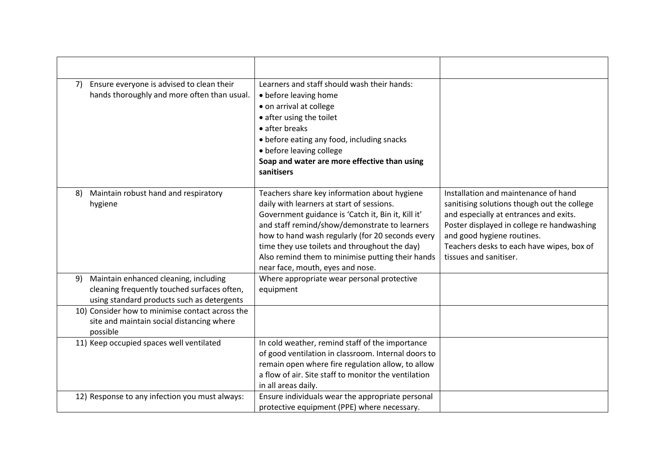| 7) | Ensure everyone is advised to clean their<br>hands thoroughly and more often than usual.                                           | Learners and staff should wash their hands:<br>• before leaving home<br>• on arrival at college<br>• after using the toilet<br>• after breaks<br>• before eating any food, including snacks<br>· before leaving college<br>Soap and water are more effective than using<br>sanitisers                                                                                                         |                                                                                                                                                                                                                                                                                  |
|----|------------------------------------------------------------------------------------------------------------------------------------|-----------------------------------------------------------------------------------------------------------------------------------------------------------------------------------------------------------------------------------------------------------------------------------------------------------------------------------------------------------------------------------------------|----------------------------------------------------------------------------------------------------------------------------------------------------------------------------------------------------------------------------------------------------------------------------------|
| 8) | Maintain robust hand and respiratory<br>hygiene                                                                                    | Teachers share key information about hygiene<br>daily with learners at start of sessions.<br>Government guidance is 'Catch it, Bin it, Kill it'<br>and staff remind/show/demonstrate to learners<br>how to hand wash regularly (for 20 seconds every<br>time they use toilets and throughout the day)<br>Also remind them to minimise putting their hands<br>near face, mouth, eyes and nose. | Installation and maintenance of hand<br>sanitising solutions though out the college<br>and especially at entrances and exits.<br>Poster displayed in college re handwashing<br>and good hygiene routines.<br>Teachers desks to each have wipes, box of<br>tissues and sanitiser. |
| 9) | Maintain enhanced cleaning, including<br>cleaning frequently touched surfaces often,<br>using standard products such as detergents | Where appropriate wear personal protective<br>equipment                                                                                                                                                                                                                                                                                                                                       |                                                                                                                                                                                                                                                                                  |
|    | 10) Consider how to minimise contact across the<br>site and maintain social distancing where<br>possible                           |                                                                                                                                                                                                                                                                                                                                                                                               |                                                                                                                                                                                                                                                                                  |
|    | 11) Keep occupied spaces well ventilated                                                                                           | In cold weather, remind staff of the importance<br>of good ventilation in classroom. Internal doors to<br>remain open where fire regulation allow, to allow<br>a flow of air. Site staff to monitor the ventilation<br>in all areas daily.                                                                                                                                                    |                                                                                                                                                                                                                                                                                  |
|    | 12) Response to any infection you must always:                                                                                     | Ensure individuals wear the appropriate personal<br>protective equipment (PPE) where necessary.                                                                                                                                                                                                                                                                                               |                                                                                                                                                                                                                                                                                  |